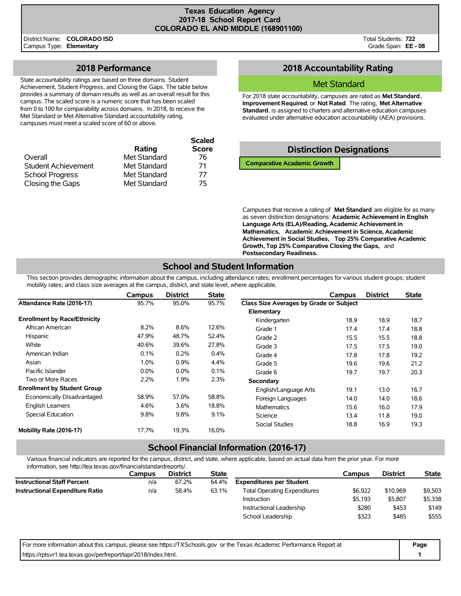District Name: **COLORADO ISD** Campus Type: **Elementary**

## **2018 Performance**

State accountability ratings are based on three domains: Student Achievement, Student Progress, and Closing the Gaps. The table below provides a summary of domain results as well as an overall result for this campus. The scaled score is a numeric score that has been scaled from 0 to 100 for comparability across domains. In 2018, to receive the Met Standard or Met Alternative Standard accountability rating, campuses must meet a scaled score of 60 or above.

|                        |              | <b>Scaled</b> |
|------------------------|--------------|---------------|
|                        | Rating       | <b>Score</b>  |
| Overall                | Met Standard | 76            |
| Student Achievement    | Met Standard | 71            |
| <b>School Progress</b> | Met Standard | 77            |
| Closing the Gaps       | Met Standard | 75            |

## **2018 Accountability Rating**

## Met Standard

For 2018 state accountability, campuses are rated as **Met Standard**, **Improvement Required**, or **Not Rated**. The rating, **Met Alternative Standard**, is assigned to charters and alternative education campuses evaluated under alternative education accountability (AEA) provisions.

## **Distinction Designations**

**Comparative Academic Growth**

Campuses that receive a rating of **Met Standard** are eligible for as many as seven distinction designations: **Academic Achievement in English Language Arts (ELA)/Reading, Academic Achievement in Mathematics, Academic Achievement in Science, Academic Achievement in Social Studies, Top 25% Comparative Academic Growth, Top 25% Comparative Closing the Gaps,** and **Postsecondary Readiness.**

## **School and Student Information**

This section provides demographic information about the campus, including attendance rates; enrollment percentages for various student groups; student mobility rates; and class size averages at the campus, district, and state level, where applicable.

|                                     | Campus  | <b>District</b> | <b>State</b> |                                         | Campus | <b>District</b> | <b>State</b> |
|-------------------------------------|---------|-----------------|--------------|-----------------------------------------|--------|-----------------|--------------|
| Attendance Rate (2016-17)           | 95.7%   | 95.0%           | 95.7%        | Class Size Averages by Grade or Subject |        |                 |              |
|                                     |         |                 |              | Elementary                              |        |                 |              |
| <b>Enrollment by Race/Ethnicity</b> |         |                 |              | Kindergarten                            | 18.9   | 18.9            | 18.7         |
| African American                    | 8.2%    | 8.6%            | 12.6%        | Grade 1                                 | 17.4   | 17.4            | 18.8         |
| Hispanic                            | 47.9%   | 48.7%           | 52.4%        | Grade 2                                 | 15.5   | 15.5            | 18.8         |
| White                               | 40.6%   | 39.6%           | 27.8%        | Grade 3                                 | 17.5   | 17.5            | 19.0         |
| American Indian                     | 0.1%    | 0.2%            | 0.4%         | Grade 4                                 | 17.8   | 17.8            | 19.2         |
| Asian                               | $1.0\%$ | 0.9%            | 4.4%         | Grade 5                                 | 19.6   | 19.6            | 21.2         |
| Pacific Islander                    | $0.0\%$ | $0.0\%$         | 0.1%         | Grade 6                                 | 19.7   | 19.7            | 20.3         |
| Two or More Races                   | 2.2%    | 1.9%            | 2.3%         | Secondary                               |        |                 |              |
| <b>Enrollment by Student Group</b>  |         |                 |              | English/Language Arts                   | 19.1   | 13.0            | 16.7         |
| Economically Disadvantaged          | 58.9%   | 57.0%           | 58.8%        | Foreign Languages                       | 14.0   | 14.0            | 18.6         |
| <b>English Learners</b>             | 4.6%    | 3.6%            | 18.8%        | <b>Mathematics</b>                      | 15.6   | 16.0            | 17.9         |
| Special Education                   | 9.8%    | 9.8%            | 9.1%         | Science                                 | 13.4   | 11.8            | 19.0         |
|                                     |         |                 |              | Social Studies                          | 18.8   | 16.9            | 19.3         |
| Mobility Rate (2016-17)             | 17.7%   | 19.3%           | 16.0%        |                                         |        |                 |              |

### **School Financial Information (2016-17)**

Various financial indicators are reported for the campus, district, and state, where applicable, based on actual data from the prior year. For more information, see http://tea.texas.gov/financialstandardreports/.

| <b>Campus</b> | <b>District</b> | <b>State</b> |                                     | Campus  | <b>District</b> | <b>State</b> |
|---------------|-----------------|--------------|-------------------------------------|---------|-----------------|--------------|
| n/a           | 67.2%           | 64.4%        | <b>Expenditures per Student</b>     |         |                 |              |
| n/a           | 58.4%           | 63.1%        | <b>Total Operating Expenditures</b> | \$6.922 | \$10,969        | \$9,503      |
|               |                 |              | Instruction                         | \$5.193 | \$5,807         | \$5,338      |
|               |                 |              | Instructional Leadership            | \$280   | \$453           | \$149        |
|               |                 |              | School Leadership                   | \$323   | \$485           | \$555        |
|               |                 |              |                                     |         |                 |              |

For more information about this campus, please see https://TXSchools.gov or the Texas Academic Performance Report at **Page** https://rptsvr1.tea.texas.gov/perfreport/tapr/2018/index.html. **1 1 1**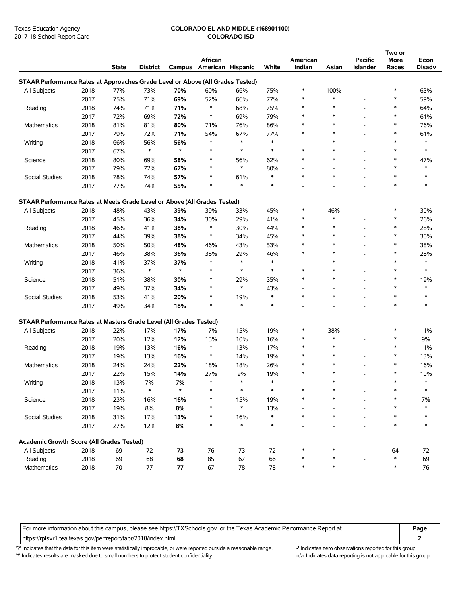#### Texas Education Agency **COLORADO EL AND MIDDLE (168901100)** 2017-18 School Report Card **COLORADO ISD**

|                                                                                |      | <b>State</b> | District | Campus  | African<br>American Hispanic |               | White         | American<br>Indian | Asian       | <b>Pacific</b><br><b>Islander</b> | Two or<br>More<br>Races | Econ<br>Disadv |
|--------------------------------------------------------------------------------|------|--------------|----------|---------|------------------------------|---------------|---------------|--------------------|-------------|-----------------------------------|-------------------------|----------------|
| STAAR Performance Rates at Approaches Grade Level or Above (All Grades Tested) |      |              |          |         |                              |               |               |                    |             |                                   |                         |                |
| All Subjects                                                                   | 2018 | 77%          | 73%      | 70%     | 60%                          | 66%           | 75%           | ∗                  | 100%        |                                   | $\ast$                  | 63%            |
|                                                                                | 2017 | 75%          | 71%      | 69%     | 52%                          | 66%           | 77%           |                    | ÷           |                                   | $\ast$                  | 59%            |
| Reading                                                                        | 2018 | 74%          | 71%      | 71%     | $\ast$                       | 68%           | 75%           | ∗                  | $\ast$      |                                   | $\ast$                  | 64%            |
|                                                                                | 2017 | 72%          | 69%      | 72%     | $\ast$                       | 69%           | 79%           | ∗                  | $\ast$      |                                   | $\ast$                  | 61%            |
| Mathematics                                                                    | 2018 | 81%          | 81%      | 80%     | 71%                          | 76%           | 86%           | $\ast$             | $\ast$      |                                   | $\ast$                  | 76%            |
|                                                                                | 2017 | 79%          | 72%      | 71%     | 54%                          | 67%           | 77%           | ∗                  | $\ast$      | $\overline{a}$                    | $\ast$                  | 61%            |
| Writing                                                                        | 2018 | 66%          | 56%      | 56%     | $\ast$                       | $\ast$        | $\ast$        |                    | $\ast$      | $\overline{a}$                    | $\ast$                  | $\ast$         |
|                                                                                | 2017 | 67%          | $\ast$   | $\star$ | $\ast$                       | $\ast$        | $\ast$        | $\ast$             | $\ast$      |                                   | $\ast$                  | $\ast$         |
|                                                                                |      |              |          |         | $\ast$                       |               |               | $\ast$             | $\ast$      | $\overline{a}$                    | $\ast$                  |                |
| Science                                                                        | 2018 | 80%          | 69%      | 58%     | $\ast$                       | 56%<br>$\ast$ | 62%           |                    |             |                                   | $\ast$                  | 47%<br>$\ast$  |
|                                                                                | 2017 | 79%          | 72%      | 67%     | $\ast$                       |               | 80%<br>$\ast$ | $\ast$             | ٠<br>$\ast$ | $\overline{a}$                    | $\ast$                  |                |
| Social Studies                                                                 | 2018 | 78%          | 74%      | 57%     |                              | 61%           |               |                    |             |                                   |                         |                |
|                                                                                | 2017 | 77%          | 74%      | 55%     | $\ast$                       | $\ast$        | $\ast$        |                    | ۰           | $\overline{a}$                    | $\ast$                  | *              |
| STAAR Performance Rates at Meets Grade Level or Above (All Grades Tested)      |      |              |          |         |                              |               |               |                    |             |                                   |                         |                |
| All Subjects                                                                   | 2018 | 48%          | 43%      | 39%     | 39%                          | 33%           | 45%           | ∗                  | 46%         |                                   | ∗                       | 30%            |
|                                                                                | 2017 | 45%          | 36%      | 34%     | 30%                          | 29%           | 41%           | ∗                  | $\ast$      | $\overline{a}$                    | $\ast$                  | 26%            |
| Reading                                                                        | 2018 | 46%          | 41%      | 38%     | $\ast$                       | 30%           | 44%           | $\ast$             | $\ast$      | $\overline{a}$                    | ∗                       | 28%            |
|                                                                                | 2017 | 44%          | 39%      | 38%     | $\ast$                       | 34%           | 45%           | ∗                  | $\ast$      | $\overline{\phantom{a}}$          | $\ast$                  | 30%            |
| Mathematics                                                                    | 2018 | 50%          | 50%      | 48%     | 46%                          | 43%           | 53%           | ∗                  | $\ast$      |                                   | $\ast$                  | 38%            |
|                                                                                | 2017 | 46%          | 38%      | 36%     | 38%                          | 29%           | 46%           | $\ast$             | $\ast$      |                                   | $\ast$                  | 28%            |
| Writing                                                                        | 2018 | 41%          | 37%      | 37%     | $\ast$                       | $\ast$        | $\ast$        |                    | $\ast$      | $\overline{\phantom{a}}$          | $\ast$                  | *              |
|                                                                                | 2017 | 36%          | $\ast$   | $\star$ | $\ast$                       | $\ast$        | $\ast$        | $\ast$             | $\ast$      |                                   | $\ast$                  | $\ast$         |
| Science                                                                        | 2018 | 51%          | 38%      | 30%     | $\ast$                       | 29%           | 35%           | $\ast$             | $\ast$      |                                   | $\ast$                  | 19%            |
|                                                                                | 2017 | 49%          | 37%      | 34%     | $\ast$                       | $\ast$        | 43%           |                    |             | $\overline{\phantom{a}}$          | $\ast$                  | $\ast$         |
| Social Studies                                                                 | 2018 | 53%          | 41%      | 20%     | $\ast$                       | 19%           | $\ast$        | $\ast$             | $\ast$      |                                   | $\ast$                  | $\ast$         |
|                                                                                |      |              |          |         | $\ast$                       | $\ast$        | $\ast$        |                    |             |                                   | $\ast$                  | $\ast$         |
|                                                                                | 2017 | 49%          | 34%      | 18%     |                              |               |               |                    |             |                                   |                         |                |
| STAAR Performance Rates at Masters Grade Level (All Grades Tested)             |      |              |          |         |                              |               |               |                    |             |                                   |                         |                |
| All Subjects                                                                   | 2018 | 22%          | 17%      | 17%     | 17%                          | 15%           | 19%           | ∗                  | 38%         | $\overline{\phantom{a}}$          | $\ast$                  | 11%            |
|                                                                                | 2017 | 20%          | 12%      | 12%     | 15%                          | 10%           | 16%           | ∗                  | $\ast$      | $\overline{\phantom{a}}$          | $\ast$                  | 9%             |
| Reading                                                                        | 2018 | 19%          | 13%      | 16%     | $\ast$                       | 13%           | 17%           |                    | $\ast$      |                                   | $\ast$                  | 11%            |
|                                                                                | 2017 | 19%          | 13%      | 16%     | *                            | 14%           | 19%           |                    | $\ast$      |                                   | ∗                       | 13%            |
| Mathematics                                                                    | 2018 | 24%          | 24%      | 22%     | 18%                          | 18%           | 26%           | ∗                  | $\ast$      |                                   | $\ast$                  | 16%            |
|                                                                                | 2017 | 22%          | 15%      | 14%     | 27%                          | 9%            | 19%           | $\ast$             | $\ast$      |                                   | $\ast$                  | 10%            |
| Writing                                                                        | 2018 | 13%          | 7%       | 7%      | $\ast$                       | $\ast$        | $\ast$        |                    | $\ast$      |                                   | $\ast$                  | $\ast$         |
|                                                                                | 2017 | 11%          | $\ast$   | $\star$ |                              | $\ast$        | $\ast$        |                    |             |                                   |                         | $\ast$         |
| Science                                                                        | 2018 | 23%          | 16%      | 16%     |                              | 15%           | 19%           |                    |             |                                   |                         | 7%             |
|                                                                                | 2017 | 19%          | $8\%$    | 8%      | $\ast$                       | $\ast$        | 13%           |                    |             |                                   | $\ast$                  | $\ast$         |
| Social Studies                                                                 | 2018 | 31%          | 17%      | 13%     | ∗                            | 16%           | $\ast$        | $\ast$             | $\ast$      |                                   | $\ast$                  |                |
|                                                                                | 2017 | 27%          | 12%      | $8\%$   | $\ast$                       | $\ast$        | $\ast$        |                    |             | $\overline{a}$                    | $\ast$                  |                |
|                                                                                |      |              |          |         |                              |               |               |                    |             |                                   |                         |                |
| Academic Growth Score (All Grades Tested)                                      |      |              |          |         |                              |               |               |                    |             |                                   |                         |                |
| All Subjects                                                                   | 2018 | 69           | 72       | 73      | 76                           | 73            | 72            | $\ast$             |             |                                   | 64                      | 72             |
| Reading                                                                        | 2018 | 69           | 68       | 68      | 85                           | 67            | 66            | $\ast$             | *           |                                   | $\ast$                  | 69             |
| Mathematics                                                                    | 2018 | $70\,$       | $77\,$   | $77\,$  | 67                           | 78            | 78            | $\ast$             | *           |                                   | $\ast$                  | 76             |

For more information about this campus, please see https://TXSchools.gov or the Texas Academic Performance Report at **Page**

https://rptsvr1.tea.texas.gov/perfreport/tapr/2018/index.html. **2**

'?' Indicates that the data for this item were statistically improbable, or were reported outside a reasonable range. '' Indicates zero observations reported for this group.

'\*' Indicates results are masked due to small numbers to protect student confidentiality. 'n/a' Indicates data reporting is not applicable for this group.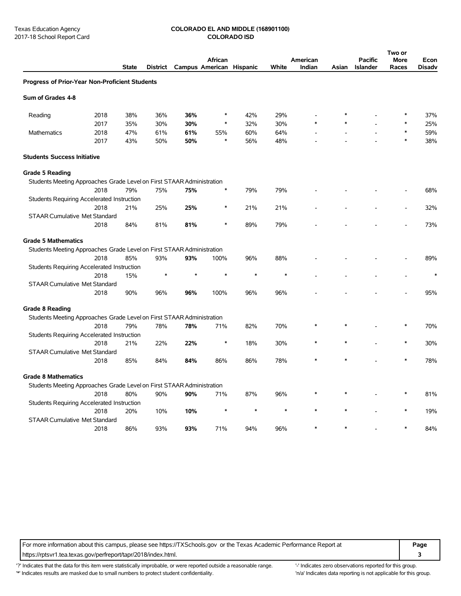# Texas Education Agency **COLORADO EL AND MIDDLE (168901100)**

|                                                                       |      |              |          |                          |         |        |        |          |       |                | Two or      |               |
|-----------------------------------------------------------------------|------|--------------|----------|--------------------------|---------|--------|--------|----------|-------|----------------|-------------|---------------|
|                                                                       |      |              |          |                          | African |        |        | American |       | <b>Pacific</b> | <b>More</b> | Econ          |
|                                                                       |      | <b>State</b> | District | Campus American Hispanic |         |        | White  | Indian   | Asian | Islander       | Races       | <b>Disadv</b> |
| Progress of Prior-Year Non-Proficient Students                        |      |              |          |                          |         |        |        |          |       |                |             |               |
| Sum of Grades 4-8                                                     |      |              |          |                          |         |        |        |          |       |                |             |               |
| Reading                                                               | 2018 | 38%          | 36%      | 36%                      | $\ast$  | 42%    | 29%    |          |       |                |             | 37%           |
|                                                                       | 2017 | 35%          | 30%      | 30%                      | $\ast$  | 32%    | 30%    |          |       |                |             | 25%           |
| <b>Mathematics</b>                                                    | 2018 | 47%          | 61%      | 61%                      | 55%     | 60%    | 64%    |          |       |                |             | 59%           |
|                                                                       | 2017 | 43%          | 50%      | 50%                      | $\ast$  | 56%    | 48%    |          |       |                |             | 38%           |
| <b>Students Success Initiative</b>                                    |      |              |          |                          |         |        |        |          |       |                |             |               |
| <b>Grade 5 Reading</b>                                                |      |              |          |                          |         |        |        |          |       |                |             |               |
| Students Meeting Approaches Grade Level on First STAAR Administration |      |              |          |                          |         |        |        |          |       |                |             |               |
|                                                                       | 2018 | 79%          | 75%      | 75%                      | $\ast$  | 79%    | 79%    |          |       |                |             | 68%           |
| Students Requiring Accelerated Instruction                            |      |              |          |                          |         |        |        |          |       |                |             |               |
|                                                                       | 2018 | 21%          | 25%      | 25%                      | ∗       | 21%    | 21%    |          |       |                |             | 32%           |
| STAAR Cumulative Met Standard                                         |      |              |          |                          |         |        |        |          |       |                |             |               |
|                                                                       | 2018 | 84%          | 81%      | 81%                      | $\ast$  | 89%    | 79%    |          |       |                |             | 73%           |
| <b>Grade 5 Mathematics</b>                                            |      |              |          |                          |         |        |        |          |       |                |             |               |
| Students Meeting Approaches Grade Level on First STAAR Administration |      |              |          |                          |         |        |        |          |       |                |             |               |
|                                                                       | 2018 | 85%          | 93%      | 93%                      | 100%    | 96%    | 88%    |          |       |                |             | 89%           |
| <b>Students Requiring Accelerated Instruction</b>                     |      |              |          |                          |         |        |        |          |       |                |             |               |
|                                                                       | 2018 | 15%          | ∗        |                          | $\ast$  | $\ast$ | ∗      |          |       |                |             | *             |
| <b>STAAR Cumulative Met Standard</b>                                  |      |              |          |                          |         |        |        |          |       |                |             |               |
|                                                                       | 2018 | 90%          | 96%      | 96%                      | 100%    | 96%    | 96%    |          |       |                |             | 95%           |
| Grade 8 Reading                                                       |      |              |          |                          |         |        |        |          |       |                |             |               |
| Students Meeting Approaches Grade Level on First STAAR Administration |      |              |          |                          |         |        |        |          |       |                |             |               |
|                                                                       | 2018 | 79%          | 78%      | 78%                      | 71%     | 82%    | 70%    |          |       |                |             | 70%           |
| Students Requiring Accelerated Instruction                            |      |              |          |                          |         |        |        |          |       |                |             |               |
|                                                                       | 2018 | 21%          | 22%      | 22%                      | $\ast$  | 18%    | 30%    |          |       |                |             | 30%           |
| <b>STAAR Cumulative Met Standard</b>                                  |      |              |          |                          |         |        |        |          |       |                |             |               |
|                                                                       | 2018 | 85%          | 84%      | 84%                      | 86%     | 86%    | 78%    |          |       |                |             | 78%           |
| <b>Grade 8 Mathematics</b>                                            |      |              |          |                          |         |        |        |          |       |                |             |               |
| Students Meeting Approaches Grade Level on First STAAR Administration |      |              |          |                          |         |        |        |          |       |                |             |               |
|                                                                       | 2018 | 80%          | 90%      | 90%                      | 71%     | 87%    | 96%    |          |       |                |             | 81%           |
| Students Requiring Accelerated Instruction                            |      |              |          |                          |         |        |        |          |       |                |             |               |
|                                                                       | 2018 | 20%          | 10%      | 10%                      | ∗       | $\ast$ | $\ast$ | $\ast$   |       |                |             | 19%           |
| <b>STAAR Cumulative Met Standard</b>                                  |      |              |          |                          |         |        |        |          |       |                |             |               |
|                                                                       | 2018 | 86%          | 93%      | 93%                      | 71%     | 94%    | 96%    |          |       |                |             | 84%           |

For more information about this campus, please see https://TXSchools.gov or the Texas Academic Performance Report at **Page** https://rptsvr1.tea.texas.gov/perfreport/tapr/2018/index.html. **3**

'?' Indicates that the data for this item were statistically improbable, or were reported outside a reasonable range. "Indicates zero observations reported for this group.

'\*' Indicates results are masked due to small numbers to protect student confidentiality. 
"n/a' Indicates data reporting is not applicable for this group.